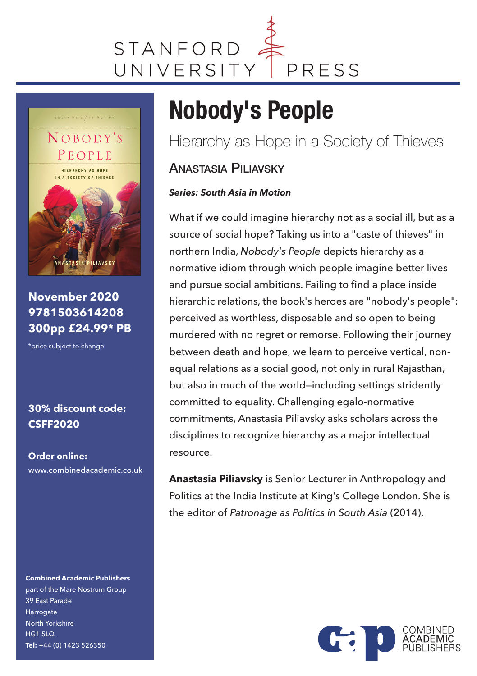



**November 2020 9781503614208 300pp £24.99\* PB**

\*price subject to change

### **30% discount code: CSFF2020**

**Order online:** www.combinedacademic.co.uk

**Combined Academic Publishers** part of the Mare Nostrum Group 39 East Parade Harrogate North Yorkshire  $HG1$  5LQ **Tel:** +44 (0) 1423 526350

## **Nobody's People**

Hierarchy as Hope in a Society of Thieves

### ANASTASIA PILIAVSKY

### *Series: South Asia in Motion*

What if we could imagine hierarchy not as a social ill, but as a source of social hope? Taking us into a "caste of thieves" in northern India, *Nobody's People* depicts hierarchy as a normative idiom through which people imagine better lives and pursue social ambitions. Failing to find a place inside hierarchic relations, the book's heroes are "nobody's people": perceived as worthless, disposable and so open to being murdered with no regret or remorse. Following their journey between death and hope, we learn to perceive vertical, nonequal relations as a social good, not only in rural Rajasthan, but also in much of the world—including settings stridently committed to equality. Challenging egalo-normative commitments, Anastasia Piliavsky asks scholars across the disciplines to recognize hierarchy as a major intellectual resource.

**Anastasia Piliavsky** is Senior Lecturer in Anthropology and Politics at the India Institute at King's College London. She is the editor of *Patronage as Politics in South Asia* (2014).